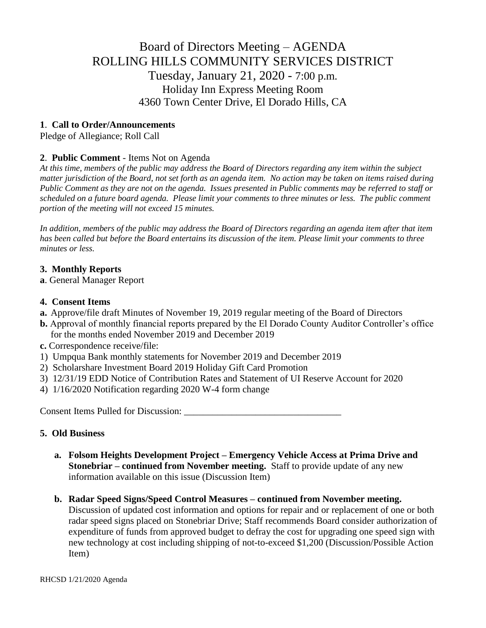# Board of Directors Meeting – AGENDA ROLLING HILLS COMMUNITY SERVICES DISTRICT Tuesday, January 21, 2020 - 7:00 p.m. Holiday Inn Express Meeting Room 4360 Town Center Drive, El Dorado Hills, CA

## **1**. **Call to Order/Announcements**

Pledge of Allegiance; Roll Call

## **2**. **Public Comment** - Items Not on Agenda

*At this time, members of the public may address the Board of Directors regarding any item within the subject matter jurisdiction of the Board, not set forth as an agenda item. No action may be taken on items raised during Public Comment as they are not on the agenda. Issues presented in Public comments may be referred to staff or scheduled on a future board agenda. Please limit your comments to three minutes or less. The public comment portion of the meeting will not exceed 15 minutes.*

*In addition, members of the public may address the Board of Directors regarding an agenda item after that item has been called but before the Board entertains its discussion of the item. Please limit your comments to three minutes or less.*

#### **3. Monthly Reports**

**a**. General Manager Report

#### **4. Consent Items**

- **a.** Approve/file draft Minutes of November 19, 2019 regular meeting of the Board of Directors
- **b.** Approval of monthly financial reports prepared by the El Dorado County Auditor Controller's office for the months ended November 2019 and December 2019
- **c.** Correspondence receive/file:
- 1) Umpqua Bank monthly statements for November 2019 and December 2019
- 2) Scholarshare Investment Board 2019 Holiday Gift Card Promotion
- 3) 12/31/19 EDD Notice of Contribution Rates and Statement of UI Reserve Account for 2020
- 4) 1/16/2020 Notification regarding 2020 W-4 form change

Consent Items Pulled for Discussion: \_\_\_\_\_\_\_\_\_\_\_\_\_\_\_\_\_\_\_\_\_\_\_\_\_\_\_\_\_\_\_\_\_

#### **5. Old Business**

- **a. Folsom Heights Development Project – Emergency Vehicle Access at Prima Drive and Stonebriar – continued from November meeting.** Staff to provide update of any new information available on this issue (Discussion Item)
- **b. Radar Speed Signs/Speed Control Measures – continued from November meeting.** Discussion of updated cost information and options for repair and or replacement of one or both radar speed signs placed on Stonebriar Drive; Staff recommends Board consider authorization of expenditure of funds from approved budget to defray the cost for upgrading one speed sign with new technology at cost including shipping of not-to-exceed \$1,200 (Discussion/Possible Action Item)